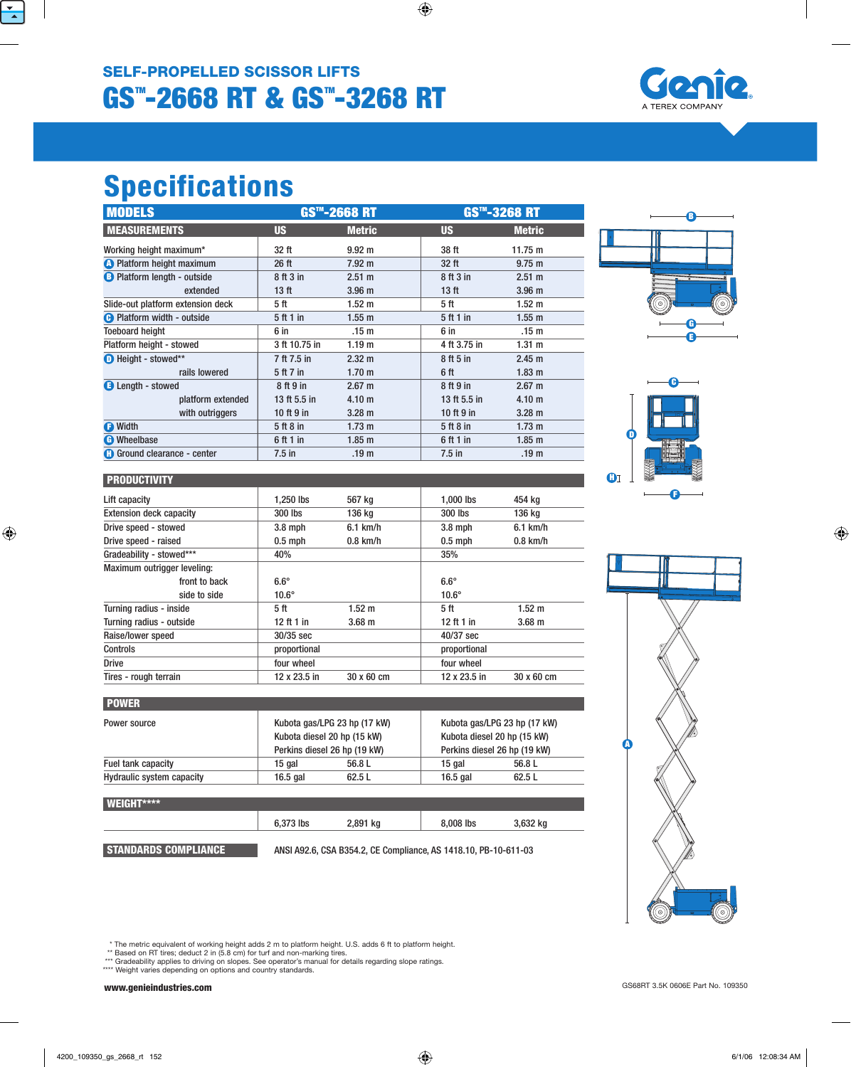## GS™-2668 RT & GS™-3268 RT SELF-PROPELLED SCISSOR LIFTS



# Specifications

**PRODUCTIVITY** 

POWER

WEIGHT\*\*\*\*

Maximum outrigger leveling:

| <b>MODELS</b>                      | <b>GS™-2668 RT</b> |                   | <b>GS™-3268 RT</b> |                   |  |
|------------------------------------|--------------------|-------------------|--------------------|-------------------|--|
| <b>MEASUREMENTS</b>                | <b>US</b>          | <b>Metric</b>     | <b>US</b>          | <b>Metric</b>     |  |
| Working height maximum*            | 32 ft              | $9.92 \text{ m}$  | 38 ft              | 11.75 $m$         |  |
| <b>A</b> Platform height maximum   | 26 ft              | $7.92 \text{ m}$  | 32 ft              | $9.75 \text{ m}$  |  |
| <b>B</b> Platform length - outside | 8 ft 3 in          | 2.51 m            | 8 ft 3 in          | $2.51 \text{ m}$  |  |
| extended                           | 13 <sub>ft</sub>   | 3.96 <sub>m</sub> | 13 <sub>ft</sub>   | 3.96 <sub>m</sub> |  |
| Slide-out platform extension deck  | 5 ft               | $1.52 \text{ m}$  | 5 ft               | $1.52 \text{ m}$  |  |
| <b>B</b> Platform width - outside  | 5 ft 1 in          | 1.55 <sub>m</sub> | 5 ft 1 in          | 1.55 m            |  |
| <b>Toeboard height</b>             | 6 in               | .15 <sub>m</sub>  | 6 in               | .15 <sub>m</sub>  |  |
| Platform height - stowed           | 3 ft 10.75 in      | 1.19 <sub>m</sub> | 4 ft 3.75 in       | 1.31 m            |  |
| $\bullet$ Height - stowed**        | 7 ft 7.5 in        | $2.32 \text{ m}$  | 8 ft 5 in          | 2.45 m            |  |
| rails lowered                      | 5 ft 7 in          | 1.70 <sub>m</sub> | 6 ft               | 1.83 <sub>m</sub> |  |
| <b>B</b> Length - stowed           | 8 ft 9 in          | $2.67 \text{ m}$  | 8 ft 9 in          | $2.67 \text{ m}$  |  |
| platform extended                  | 13 ft 5.5 in       | 4.10 <sub>m</sub> | 13 ft 5.5 in       | 4.10 <sub>m</sub> |  |
| with outriggers                    | 10 ft $9$ in       | $3.28 \text{ m}$  | 10 ft $9$ in       | $3.28 \text{ m}$  |  |
| <b>O</b> Width                     | 5 ft 8 in          | 1.73 <sub>m</sub> | 5 ft 8 in          | $1.73 \text{ m}$  |  |
| <b>C</b> Wheelbase                 | 6 ft 1 in          | 1.85 <sub>m</sub> | 6 ft 1 in          | 1.85 <sub>m</sub> |  |
| <b>G</b> Ground clearance - center | $7.5$ in           | .19 <sub>m</sub>  | $7.5$ in           | .19 <sub>m</sub>  |  |

Lift capacity 1,250 lbs 567 kg 1,000 lbs 454 kg Extension deck capacity 300 lbs 136 kg 300 lbs 136 kg Drive speed - stowed 3.8 mph 6.1 km/h 3.8 mph 6.1 km/h Drive speed - raised  $\vert$  0.5 mph 0.8 km/h 0.8 km/h 0.5 mph 0.8 km/h

front to back 6.6° 6.6° side to side 10.6° 10.6° Turning radius - inside  $5 \text{ ft}$  5 ft 1.52 m 5 ft 1.52 m Turning radius - outside 12 ft 1 in 12 ft 1 in 12 ft 1 in 12 ft 1 in 3.68 m

Tires - rough terrain 12 x 23.5 in 30 x 60 cm 12 x 23.5 in 30 x 60 cm

Power source **Kubota gas/LPG** 23 hp (17 kW) Kubota gas/LPG 23 hp (17 kW)

Fuel tank capacity **15 gal 56.8 L** 15 gal 56.8 L Hydraulic system capacity 16.5 gal 62.5 L 16.5 gal 62.5 L

6,373 lbs 2,891 kg

**STANDARDS COMPLIANCE** ANSI A92.6, CSA B354.2, CE Compliance, AS 1418.10, PB-10-611-03

Kubota diesel 20 hp (15 kW) Kubota diesel 20 hp (15 kW) Perkins diesel 26 hp (19 kW) Perkins diesel 26 hp (19 kW)

8,008 lbs

3,632 kg

Gradeability - stowed\*\*\* 40% 35%

Raise/lower speed 30/35 sec 40/37 sec Controls proportional proportional proportional proportional proportional Drive **four wheel** four wheel **four wheel** four wheel







| A |
|---|

\* The metric equivalent of working height adds 2 m to platform height. U.S. adds 6 ft to platform height.

\*\* Based on RT tires; deduct 2 in (5.8 cm) for turf and non-marking tires. \*\*\* Gradeability applies to driving on slopes. See operator's manual for details regarding slope ratings.

\*\*\*\* Weight varies depending on options and country standards.